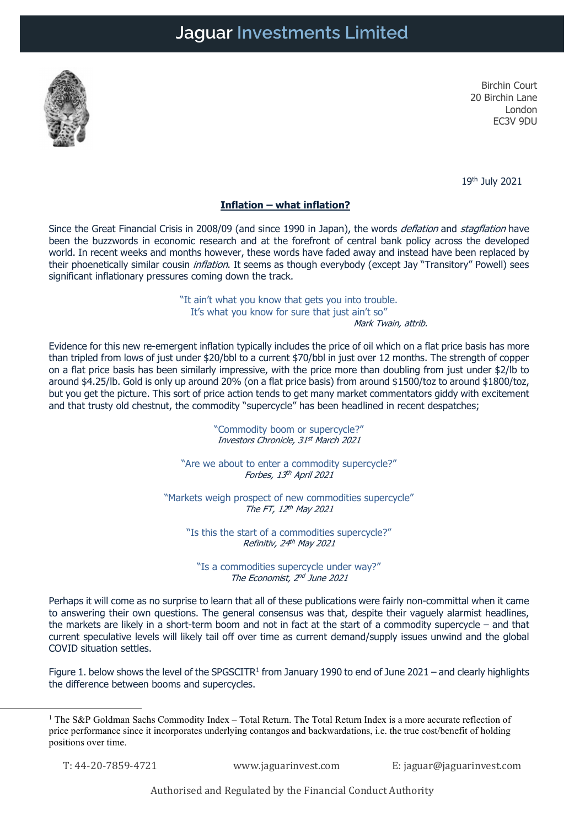

Birchin Court 20 Birchin Lane London EC3V 9DU

19th July 2021

## Inflation – what inflation?

Since the Great Financial Crisis in 2008/09 (and since 1990 in Japan), the words *deflation* and *stagflation* have been the buzzwords in economic research and at the forefront of central bank policy across the developed world. In recent weeks and months however, these words have faded away and instead have been replaced by their phoenetically similar cousin *inflation*. It seems as though everybody (except Jay "Transitory" Powell) sees significant inflationary pressures coming down the track.

> "It ain't what you know that gets you into trouble. It's what you know for sure that just ain't so" Mark Twain, attrib.

Evidence for this new re-emergent inflation typically includes the price of oil which on a flat price basis has more than tripled from lows of just under \$20/bbl to a current \$70/bbl in just over 12 months. The strength of copper on a flat price basis has been similarly impressive, with the price more than doubling from just under \$2/lb to around \$4.25/lb. Gold is only up around 20% (on a flat price basis) from around \$1500/toz to around \$1800/toz, but you get the picture. This sort of price action tends to get many market commentators giddy with excitement and that trusty old chestnut, the commodity "supercycle" has been headlined in recent despatches;

> "Commodity boom or supercycle?" Investors Chronicle, 31st March 2021

"Are we about to enter a commodity supercycle?" Forbes, 13<sup>th</sup> April 2021

"Markets weigh prospect of new commodities supercycle" The FT, 12<sup>th</sup> May 2021

"Is this the start of a commodities supercycle?" Refinitiv, 24th May 2021

"Is a commodities supercycle under way?" The Economist, 2<sup>nd</sup> June 2021

Perhaps it will come as no surprise to learn that all of these publications were fairly non-committal when it came to answering their own questions. The general consensus was that, despite their vaguely alarmist headlines, the markets are likely in a short-term boom and not in fact at the start of a commodity supercycle – and that current speculative levels will likely tail off over time as current demand/supply issues unwind and the global COVID situation settles.

Figure 1. below shows the level of the SPGSCITR<sup>1</sup> from January 1990 to end of June 2021 – and clearly highlights the difference between booms and supercycles.

T: 44-20-7859-4721 www.jaguarinvest.com E: jaguar@jaguarinvest.com

Authorised and Regulated by the Financial Conduct Authority

<sup>&</sup>lt;sup>1</sup> The S&P Goldman Sachs Commodity Index – Total Return. The Total Return Index is a more accurate reflection of price performance since it incorporates underlying contangos and backwardations, i.e. the true cost/benefit of holding positions over time.